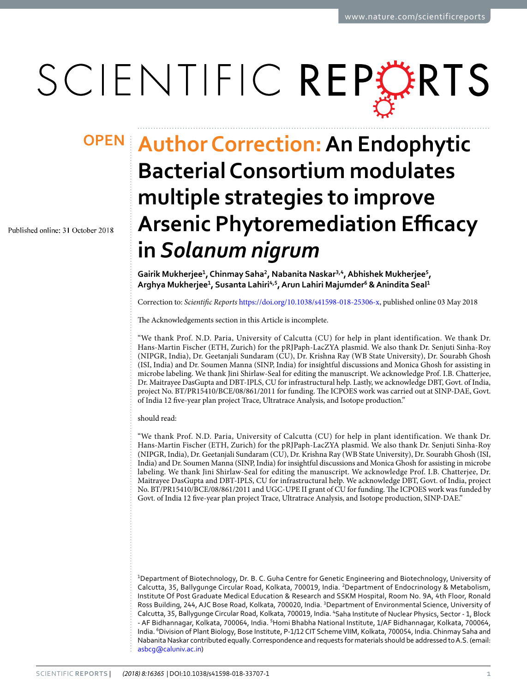## SCIENTIFIC REPERTS

Published online: 31 October 2018

## **Author Correction: An Endophytic OPENBacterial Consortium modulates multiple strategies to improve Arsenic Phytoremediation Efficacy in** *Solanum nigrum*

**Gairik Mukherjee<sup>1</sup> , Chinmay Saha<sup>2</sup> , Nabanita Naskar3,4, Abhishek Mukherjee<sup>5</sup> , Arghya Mukherjee<sup>1</sup> , Susanta Lahiri4,5, Arun Lahiri Majumder<sup>6</sup> & Anindita Seal<sup>1</sup>**

Correction to: Scientific Reports [https://doi.org/10.1038/s41598-018-25306-x,](http://dx.doi.org/10.1038/s41598-018-25306-x) published online 03 May 2018

The Acknowledgements section in this Article is incomplete.

"We thank Prof. N.D. Paria, University of Calcutta (CU) for help in plant identification. We thank Dr. Hans-Martin Fischer (ETH, Zurich) for the pRJPaph-LacZYA plasmid. We also thank Dr. Senjuti Sinha-Roy (NIPGR, India), Dr. Geetanjali Sundaram (CU), Dr. Krishna Ray (WB State University), Dr. Sourabh Ghosh (ISI, India) and Dr. Soumen Manna (SINP, India) for insightful discussions and Monica Ghosh for assisting in microbe labeling. We thank Jini Shirlaw-Seal for editing the manuscript. We acknowledge Prof. I.B. Chatterjee, Dr. Maitrayee DasGupta and DBT-IPLS, CU for infrastructural help. Lastly, we acknowledge DBT, Govt. of India, project No. BT/PR15410/BCE/08/861/2011 for funding. The ICPOES work was carried out at SINP-DAE, Govt. of India 12 five-year plan project Trace, Ultratrace Analysis, and Isotope production."

should read:

"We thank Prof. N.D. Paria, University of Calcutta (CU) for help in plant identification. We thank Dr. Hans-Martin Fischer (ETH, Zurich) for the pRJPaph-LacZYA plasmid. We also thank Dr. Senjuti Sinha-Roy (NIPGR, India), Dr. Geetanjali Sundaram (CU), Dr. Krishna Ray (WB State University), Dr. Sourabh Ghosh (ISI, India) and Dr. Soumen Manna (SINP, India) for insightful discussions and Monica Ghosh for assisting in microbe labeling. We thank Jini Shirlaw-Seal for editing the manuscript. We acknowledge Prof. I.B. Chatterjee, Dr. Maitrayee DasGupta and DBT-IPLS, CU for infrastructural help. We acknowledge DBT, Govt. of India, project No. BT/PR15410/BCE/08/861/2011 and UGC-UPE II grant of CU for funding. The ICPOES work was funded by Govt. of India 12 five-year plan project Trace, Ultratrace Analysis, and Isotope production, SINP-DAE."

<sup>1</sup>Department of Biotechnology, Dr. B. C. Guha Centre for Genetic Engineering and Biotechnology, University of Calcutta, 35, Ballygunge Circular Road, Kolkata, 700019, India. <sup>2</sup>Department of Endocrinology & Metabolism, Institute Of Post Graduate Medical Education & Research and SSKM Hospital, Room No. 9A, 4th Floor, Ronald Ross Building, 244, AJC Bose Road, Kolkata, 700020, India. <sup>3</sup>Department of Environmental Science, University of Calcutta, 35, Ballygunge Circular Road, Kolkata, 700019, India. <sup>4</sup>Saha Institute of Nuclear Physics, Sector - 1, Block - AF Bidhannagar, Kolkata, 700064, India. <sup>5</sup>Homi Bhabha National Institute, 1/AF Bidhannagar, Kolkata, 700064, India. <sup>6</sup>Division of Plant Biology, Bose Institute, P-1/12 CIT Scheme VIIM, Kolkata, 700054, India. Chinmay Saha and Nabanita Naskar contributed equally. Correspondence and requests for materials should be addressed to A.S. (email: [asbcg@caluniv.ac.in\)](mailto:asbcg@caluniv.ac.in)